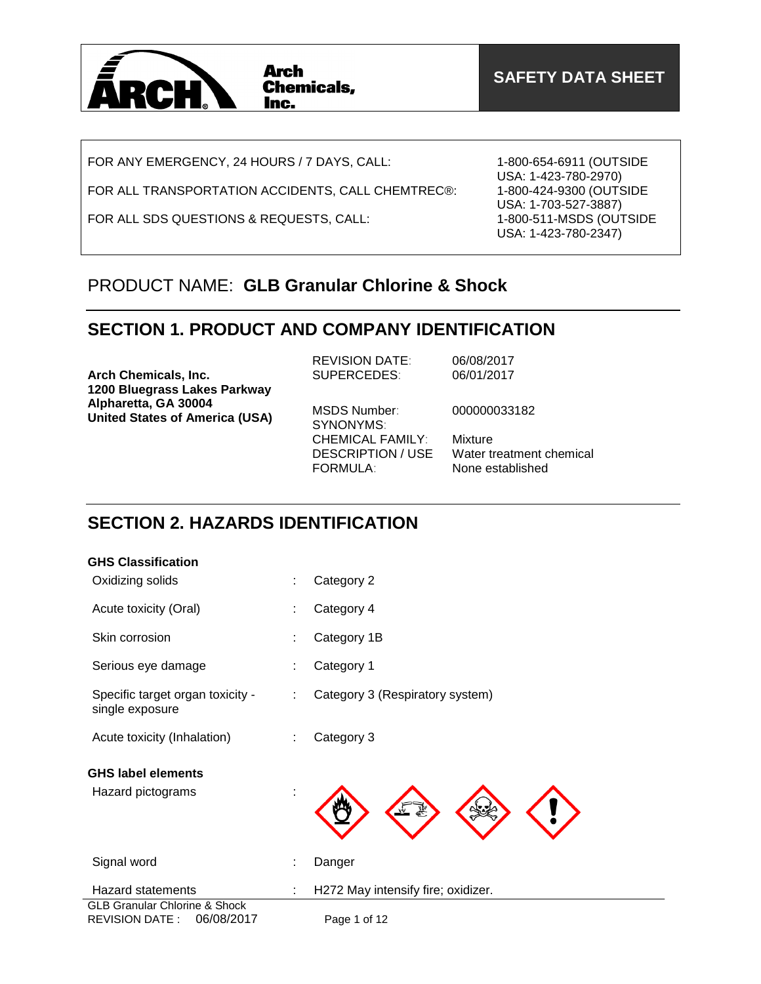

FOR ANY EMERGENCY, 24 HOURS / 7 DAYS, CALL:

FOR ALL TRANSPORTATION ACCIDENTS, CALL CHEMTREC®:

FOR ALL SDS QUESTIONS & REQUESTS, CALL:

1-800-654-6911 (OUTSIDE USA: 1-423-780-2970) 1-800-424-9300 (OUTSIDE USA: 1-703-527-3887) 1-800-511-MSDS (OUTSIDE USA: 1-423-780-2347)

## PRODUCT NAME: **GLB Granular Chlorine & Shock**

## **SECTION 1. PRODUCT AND COMPANY IDENTIFICATION**

| <b>Arch Chemicals, Inc.</b>                                                                   | <b>REVISION DATE:</b><br>SUPERCEDES:                                   | 06/08/2017<br>06/01/2017                                |
|-----------------------------------------------------------------------------------------------|------------------------------------------------------------------------|---------------------------------------------------------|
| 1200 Bluegrass Lakes Parkway<br>Alpharetta, GA 30004<br><b>United States of America (USA)</b> | MSDS Number:<br>SYNONYMS:                                              | 000000033182                                            |
|                                                                                               | <b>CHEMICAL FAMILY:</b><br><b>DESCRIPTION / USE</b><br><b>FORMULA:</b> | Mixture<br>Water treatment chemical<br>None established |

## **SECTION 2. HAZARDS IDENTIFICATION**

| <b>GHS Classification</b>                                                       |   |                                    |
|---------------------------------------------------------------------------------|---|------------------------------------|
| Oxidizing solids                                                                |   | Category 2                         |
| Acute toxicity (Oral)                                                           |   | Category 4                         |
| Skin corrosion                                                                  |   | Category 1B                        |
| Serious eye damage                                                              |   | Category 1                         |
| Specific target organ toxicity -<br>single exposure                             | ÷ | Category 3 (Respiratory system)    |
| Acute toxicity (Inhalation)                                                     |   | Category 3                         |
| <b>GHS label elements</b>                                                       |   |                                    |
| Hazard pictograms                                                               |   |                                    |
| Signal word                                                                     |   | Danger                             |
| <b>Hazard statements</b>                                                        |   | H272 May intensify fire; oxidizer. |
| <b>GLB Granular Chlorine &amp; Shock</b><br>06/08/2017<br><b>REVISION DATE:</b> |   | Page 1 of 12                       |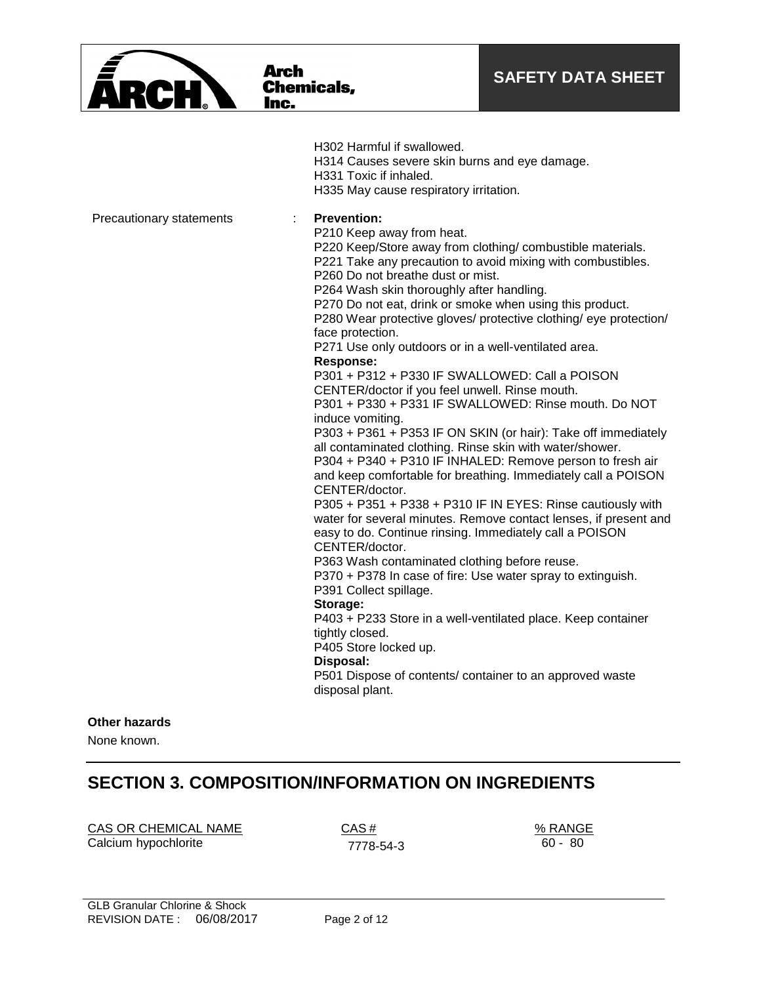

**Arch** 

Inc.

**Chemicals,** 

H302 Harmful if swallowed. H314 Causes severe skin burns and eye damage. H331 Toxic if inhaled. H335 May cause respiratory irritation. Precautionary statements : **Prevention:**  P210 Keep away from heat. P220 Keep/Store away from clothing/ combustible materials. P221 Take any precaution to avoid mixing with combustibles. P260 Do not breathe dust or mist. P264 Wash skin thoroughly after handling. P270 Do not eat, drink or smoke when using this product. P280 Wear protective gloves/ protective clothing/ eye protection/ face protection. P271 Use only outdoors or in a well-ventilated area. **Response:**  P301 + P312 + P330 IF SWALLOWED: Call a POISON CENTER/doctor if you feel unwell. Rinse mouth. P301 + P330 + P331 IF SWALLOWED: Rinse mouth. Do NOT induce vomiting. P303 + P361 + P353 IF ON SKIN (or hair): Take off immediately all contaminated clothing. Rinse skin with water/shower. P304 + P340 + P310 IF INHALED: Remove person to fresh air and keep comfortable for breathing. Immediately call a POISON CENTER/doctor. P305 + P351 + P338 + P310 IF IN EYES: Rinse cautiously with water for several minutes. Remove contact lenses, if present and easy to do. Continue rinsing. Immediately call a POISON CENTER/doctor. P363 Wash contaminated clothing before reuse. P370 + P378 In case of fire: Use water spray to extinguish. P391 Collect spillage. **Storage:**  P403 + P233 Store in a well-ventilated place. Keep container tightly closed. P405 Store locked up. **Disposal:**  P501 Dispose of contents/ container to an approved waste disposal plant.

### **Other hazards**

None known.

## **SECTION 3. COMPOSITION/INFORMATION ON INGREDIENTS**

CAS OR CHEMICAL NAME CAS #  $\frac{1}{2}$  CAS #  $\frac{1}{2}$  % RANGE Calcium hypochlorite 7778-54-3

60 - 80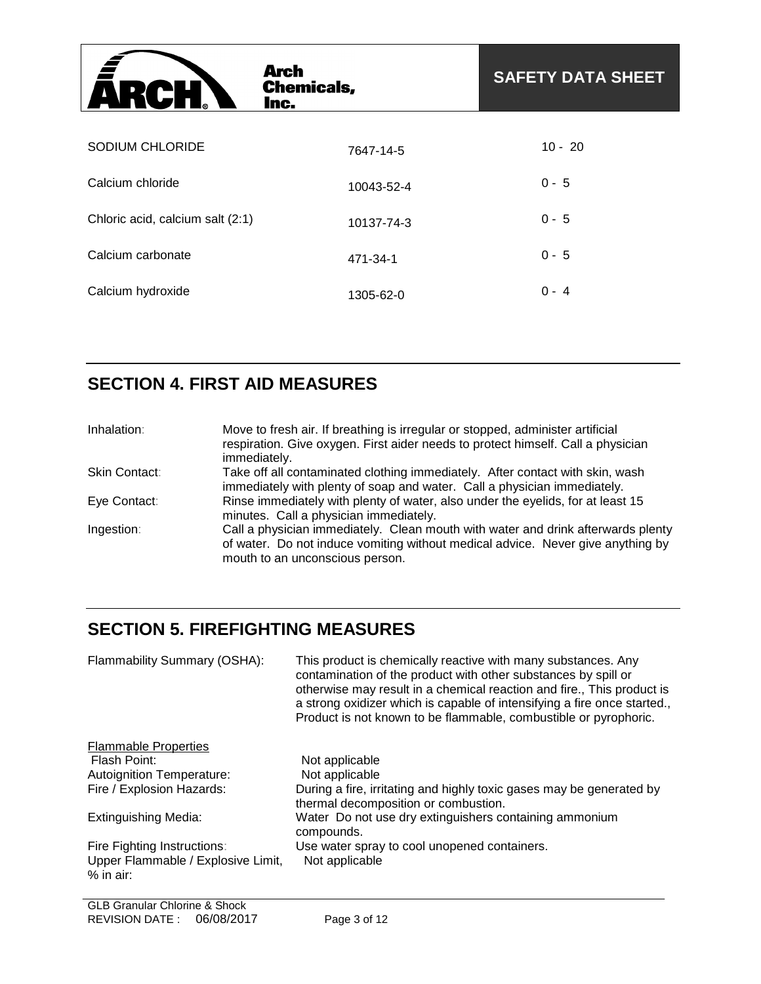| <b>ARCH</b>                      | <b>Arch</b><br><b>Chemicals,</b><br>Inc. | <b>SAFETY DATA SHEET</b> |
|----------------------------------|------------------------------------------|--------------------------|
| SODIUM CHLORIDE                  | 7647-14-5                                | $10 - 20$                |
| Calcium chloride                 |                                          | $0 - 5$                  |
| Chloric acid, calcium salt (2:1) | 10043-52-4                               | $0 - 5$                  |
| Calcium carbonate                | 10137-74-3                               |                          |
|                                  | 471-34-1                                 | $0 - 5$                  |
| Calcium hydroxide                | 1305-62-0                                | $0 - 4$                  |

# **SECTION 4. FIRST AID MEASURES**

| Inhalation:   | Move to fresh air. If breathing is irregular or stopped, administer artificial<br>respiration. Give oxygen. First aider needs to protect himself. Call a physician<br>immediately.                     |
|---------------|--------------------------------------------------------------------------------------------------------------------------------------------------------------------------------------------------------|
| Skin Contact: | Take off all contaminated clothing immediately. After contact with skin, wash<br>immediately with plenty of soap and water. Call a physician immediately.                                              |
| Eye Contact:  | Rinse immediately with plenty of water, also under the eyelids, for at least 15<br>minutes. Call a physician immediately.                                                                              |
| Ingestion:    | Call a physician immediately. Clean mouth with water and drink afterwards plenty<br>of water. Do not induce vomiting without medical advice. Never give anything by<br>mouth to an unconscious person. |

# **SECTION 5. FIREFIGHTING MEASURES**

| Flammability Summary (OSHA):                                      | This product is chemically reactive with many substances. Any<br>contamination of the product with other substances by spill or<br>otherwise may result in a chemical reaction and fire., This product is<br>a strong oxidizer which is capable of intensifying a fire once started.,<br>Product is not known to be flammable, combustible or pyrophoric. |
|-------------------------------------------------------------------|-----------------------------------------------------------------------------------------------------------------------------------------------------------------------------------------------------------------------------------------------------------------------------------------------------------------------------------------------------------|
| <b>Flammable Properties</b>                                       |                                                                                                                                                                                                                                                                                                                                                           |
| Flash Point:                                                      | Not applicable                                                                                                                                                                                                                                                                                                                                            |
| <b>Autoignition Temperature:</b>                                  | Not applicable                                                                                                                                                                                                                                                                                                                                            |
| Fire / Explosion Hazards:                                         | During a fire, irritating and highly toxic gases may be generated by<br>thermal decomposition or combustion.                                                                                                                                                                                                                                              |
| <b>Extinguishing Media:</b>                                       | Water Do not use dry extinguishers containing ammonium<br>compounds.                                                                                                                                                                                                                                                                                      |
| Fire Fighting Instructions:<br>Upper Flammable / Explosive Limit, | Use water spray to cool unopened containers.<br>Not applicable                                                                                                                                                                                                                                                                                            |
| $%$ in air:                                                       |                                                                                                                                                                                                                                                                                                                                                           |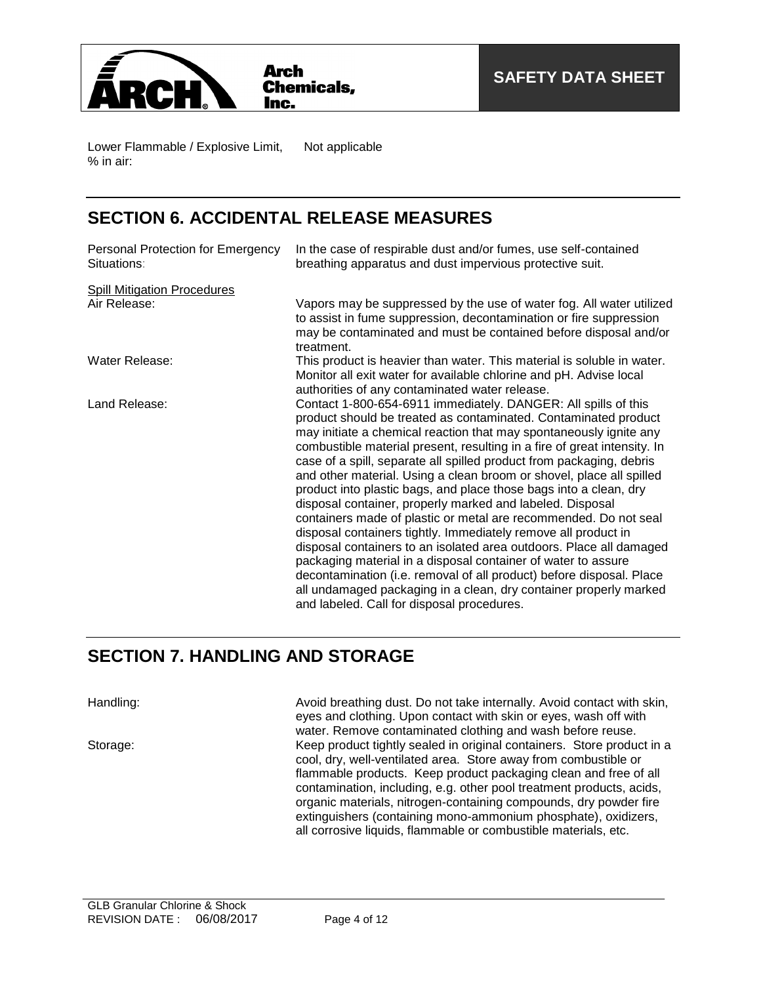

Lower Flammable / Explosive Limit, % in air: Not applicable

## **SECTION 6. ACCIDENTAL RELEASE MEASURES**

| Personal Protection for Emergency<br>Situations: | In the case of respirable dust and/or fumes, use self-contained<br>breathing apparatus and dust impervious protective suit.                                                                                                                                                                                                                                                                                                                                                                                                                                                                                                                                                                                                                                                                                                                                                                                                                                                                                                                    |
|--------------------------------------------------|------------------------------------------------------------------------------------------------------------------------------------------------------------------------------------------------------------------------------------------------------------------------------------------------------------------------------------------------------------------------------------------------------------------------------------------------------------------------------------------------------------------------------------------------------------------------------------------------------------------------------------------------------------------------------------------------------------------------------------------------------------------------------------------------------------------------------------------------------------------------------------------------------------------------------------------------------------------------------------------------------------------------------------------------|
| <b>Spill Mitigation Procedures</b>               |                                                                                                                                                                                                                                                                                                                                                                                                                                                                                                                                                                                                                                                                                                                                                                                                                                                                                                                                                                                                                                                |
| Air Release:                                     | Vapors may be suppressed by the use of water fog. All water utilized<br>to assist in fume suppression, decontamination or fire suppression<br>may be contaminated and must be contained before disposal and/or<br>treatment.                                                                                                                                                                                                                                                                                                                                                                                                                                                                                                                                                                                                                                                                                                                                                                                                                   |
| Water Release:                                   | This product is heavier than water. This material is soluble in water.<br>Monitor all exit water for available chlorine and pH. Advise local<br>authorities of any contaminated water release.                                                                                                                                                                                                                                                                                                                                                                                                                                                                                                                                                                                                                                                                                                                                                                                                                                                 |
| Land Release:                                    | Contact 1-800-654-6911 immediately. DANGER: All spills of this<br>product should be treated as contaminated. Contaminated product<br>may initiate a chemical reaction that may spontaneously ignite any<br>combustible material present, resulting in a fire of great intensity. In<br>case of a spill, separate all spilled product from packaging, debris<br>and other material. Using a clean broom or shovel, place all spilled<br>product into plastic bags, and place those bags into a clean, dry<br>disposal container, properly marked and labeled. Disposal<br>containers made of plastic or metal are recommended. Do not seal<br>disposal containers tightly. Immediately remove all product in<br>disposal containers to an isolated area outdoors. Place all damaged<br>packaging material in a disposal container of water to assure<br>decontamination (i.e. removal of all product) before disposal. Place<br>all undamaged packaging in a clean, dry container properly marked<br>and labeled. Call for disposal procedures. |

## **SECTION 7. HANDLING AND STORAGE**

Handling: **Avoid breathing dust. Do not take internally.** Avoid contact with skin, eyes and clothing. Upon contact with skin or eyes, wash off with water. Remove contaminated clothing and wash before reuse. Storage: Keep product tightly sealed in original containers. Store product in a cool, dry, well-ventilated area. Store away from combustible or flammable products. Keep product packaging clean and free of all contamination, including, e.g. other pool treatment products, acids, organic materials, nitrogen-containing compounds, dry powder fire extinguishers (containing mono-ammonium phosphate), oxidizers, all corrosive liquids, flammable or combustible materials, etc.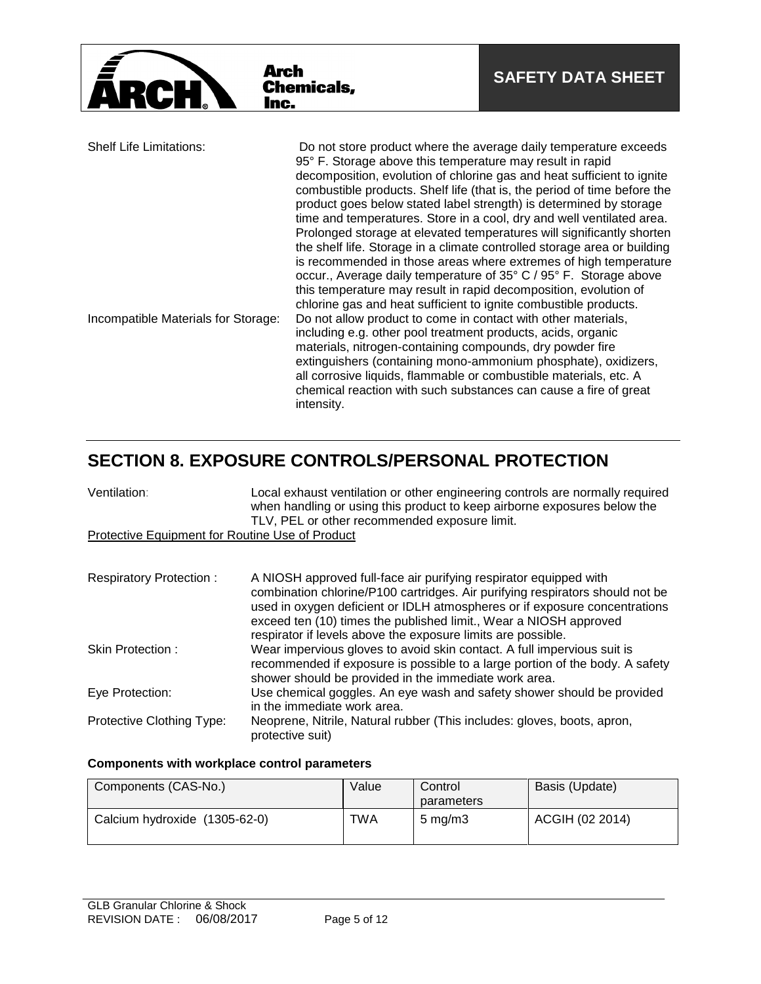

## **SECTION 8. EXPOSURE CONTROLS/PERSONAL PROTECTION**

| Ventilation:                                    | Local exhaust ventilation or other engineering controls are normally required<br>when handling or using this product to keep airborne exposures below the<br>TLV, PEL or other recommended exposure limit.                                                                                                                                                            |
|-------------------------------------------------|-----------------------------------------------------------------------------------------------------------------------------------------------------------------------------------------------------------------------------------------------------------------------------------------------------------------------------------------------------------------------|
| Protective Equipment for Routine Use of Product |                                                                                                                                                                                                                                                                                                                                                                       |
|                                                 |                                                                                                                                                                                                                                                                                                                                                                       |
| <b>Respiratory Protection:</b>                  | A NIOSH approved full-face air purifying respirator equipped with<br>combination chlorine/P100 cartridges. Air purifying respirators should not be<br>used in oxygen deficient or IDLH atmospheres or if exposure concentrations<br>exceed ten (10) times the published limit., Wear a NIOSH approved<br>respirator if levels above the exposure limits are possible. |
| Skin Protection:                                | Wear impervious gloves to avoid skin contact. A full impervious suit is<br>recommended if exposure is possible to a large portion of the body. A safety<br>shower should be provided in the immediate work area.                                                                                                                                                      |
| Eye Protection:                                 | Use chemical goggles. An eye wash and safety shower should be provided<br>in the immediate work area.                                                                                                                                                                                                                                                                 |
| Protective Clothing Type:                       | Neoprene, Nitrile, Natural rubber (This includes: gloves, boots, apron,<br>protective suit)                                                                                                                                                                                                                                                                           |

### **Components with workplace control parameters**

| Components (CAS-No.)          | Value      | Control<br>parameters | Basis (Update)  |
|-------------------------------|------------|-----------------------|-----------------|
| Calcium hydroxide (1305-62-0) | <b>TWA</b> | $5 \text{ ma/m}$ 3    | ACGIH (02 2014) |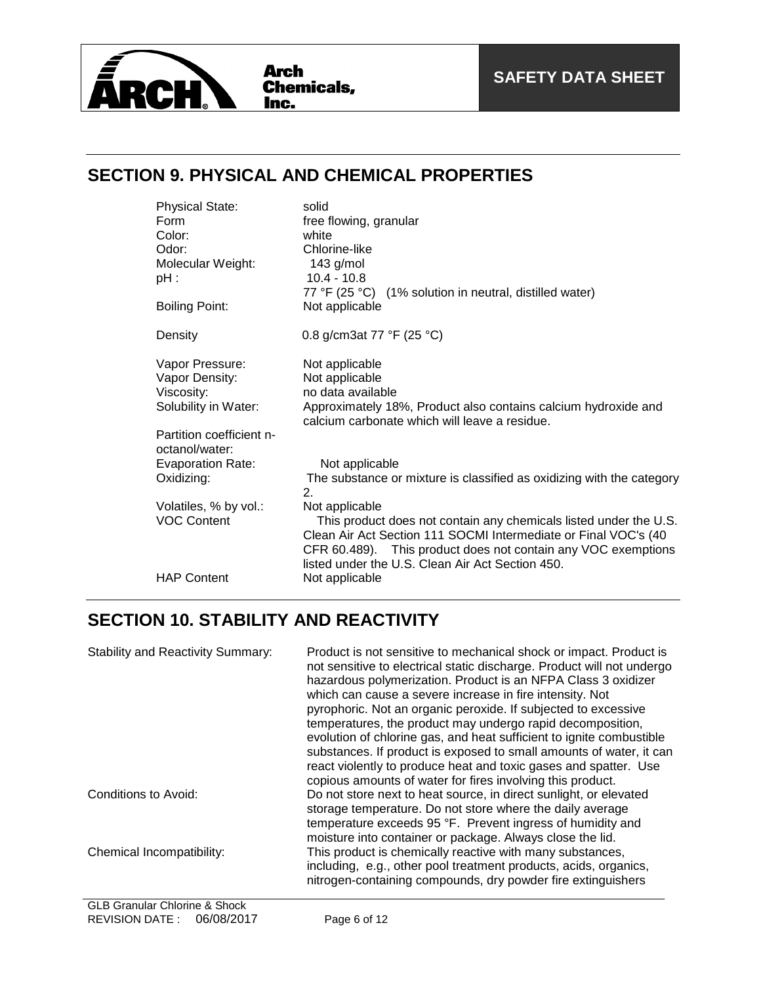

## **SECTION 9. PHYSICAL AND CHEMICAL PROPERTIES**

| <b>Physical State:</b>                     | solid                                                                                                                                                                                                                                                     |
|--------------------------------------------|-----------------------------------------------------------------------------------------------------------------------------------------------------------------------------------------------------------------------------------------------------------|
| Form                                       | free flowing, granular                                                                                                                                                                                                                                    |
| Color:                                     | white                                                                                                                                                                                                                                                     |
| Odor:                                      | Chlorine-like                                                                                                                                                                                                                                             |
| Molecular Weight:                          | 143 $g/mol$                                                                                                                                                                                                                                               |
| $pH$ :                                     | $10.4 - 10.8$                                                                                                                                                                                                                                             |
|                                            | 77 °F (25 °C) (1% solution in neutral, distilled water)                                                                                                                                                                                                   |
| Boiling Point:                             | Not applicable                                                                                                                                                                                                                                            |
| Density                                    | 0.8 g/cm3at 77 °F (25 °C)                                                                                                                                                                                                                                 |
| Vapor Pressure:                            | Not applicable                                                                                                                                                                                                                                            |
| Vapor Density:                             | Not applicable                                                                                                                                                                                                                                            |
| Viscosity:                                 | no data available                                                                                                                                                                                                                                         |
| Solubility in Water:                       | Approximately 18%, Product also contains calcium hydroxide and<br>calcium carbonate which will leave a residue.                                                                                                                                           |
| Partition coefficient n-<br>octanol/water: |                                                                                                                                                                                                                                                           |
| <b>Evaporation Rate:</b>                   | Not applicable                                                                                                                                                                                                                                            |
| Oxidizing:                                 | The substance or mixture is classified as oxidizing with the category<br>$\overline{2}$ .                                                                                                                                                                 |
| Volatiles, % by vol.:                      | Not applicable                                                                                                                                                                                                                                            |
| <b>VOC Content</b>                         | This product does not contain any chemicals listed under the U.S.<br>Clean Air Act Section 111 SOCMI Intermediate or Final VOC's (40<br>CFR 60.489). This product does not contain any VOC exemptions<br>listed under the U.S. Clean Air Act Section 450. |
| <b>HAP Content</b>                         | Not applicable                                                                                                                                                                                                                                            |

# **SECTION 10. STABILITY AND REACTIVITY**

| <b>Stability and Reactivity Summary:</b> | Product is not sensitive to mechanical shock or impact. Product is<br>not sensitive to electrical static discharge. Product will not undergo<br>hazardous polymerization. Product is an NFPA Class 3 oxidizer<br>which can cause a severe increase in fire intensity. Not<br>pyrophoric. Not an organic peroxide. If subjected to excessive<br>temperatures, the product may undergo rapid decomposition,<br>evolution of chlorine gas, and heat sufficient to ignite combustible<br>substances. If product is exposed to small amounts of water, it can<br>react violently to produce heat and toxic gases and spatter. Use<br>copious amounts of water for fires involving this product. |
|------------------------------------------|--------------------------------------------------------------------------------------------------------------------------------------------------------------------------------------------------------------------------------------------------------------------------------------------------------------------------------------------------------------------------------------------------------------------------------------------------------------------------------------------------------------------------------------------------------------------------------------------------------------------------------------------------------------------------------------------|
| Conditions to Avoid:                     | Do not store next to heat source, in direct sunlight, or elevated<br>storage temperature. Do not store where the daily average<br>temperature exceeds 95 °F. Prevent ingress of humidity and<br>moisture into container or package. Always close the lid.                                                                                                                                                                                                                                                                                                                                                                                                                                  |
| Chemical Incompatibility:                | This product is chemically reactive with many substances,<br>including, e.g., other pool treatment products, acids, organics,<br>nitrogen-containing compounds, dry powder fire extinguishers                                                                                                                                                                                                                                                                                                                                                                                                                                                                                              |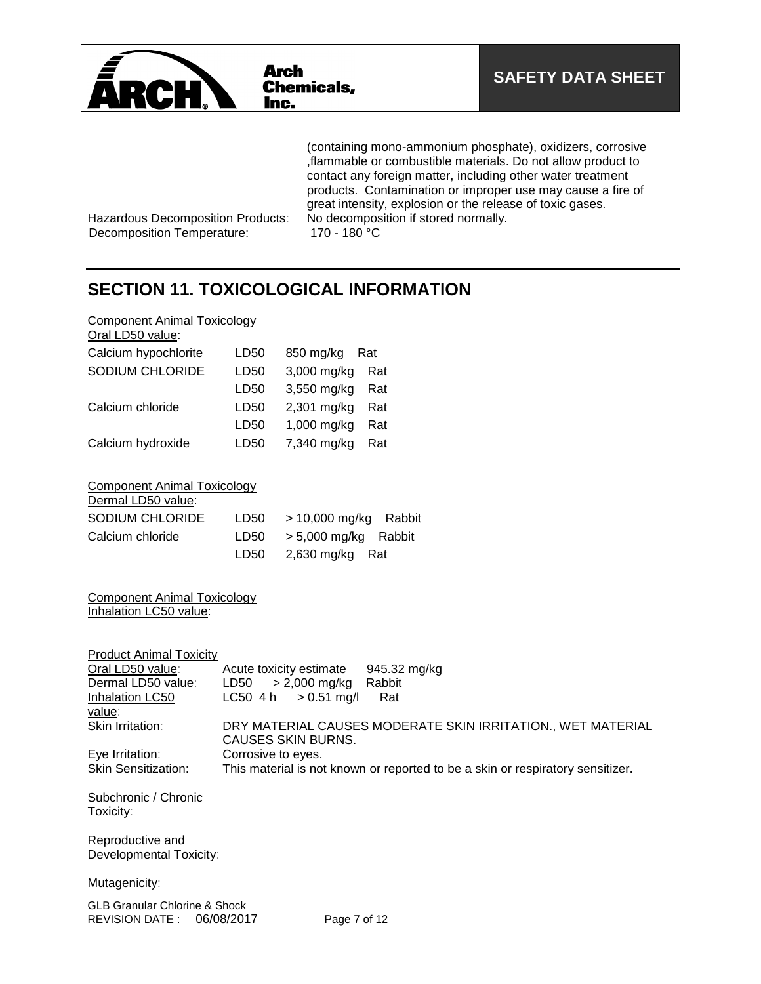

(containing mono-ammonium phosphate), oxidizers, corrosive ,flammable or combustible materials. Do not allow product to contact any foreign matter, including other water treatment products. Contamination or improper use may cause a fire of great intensity, explosion or the release of toxic gases.<br>No decomposition if stored normally.

Hazardous Decomposition Products: No decomposition Temperature: 170 - 180 °C Decomposition Temperature:

## **SECTION 11. TOXICOLOGICAL INFORMATION**

| <b>Component Animal Toxicology</b> |  |  |
|------------------------------------|--|--|
|                                    |  |  |

| Oral LD50 value:       |      |                  |     |
|------------------------|------|------------------|-----|
| Calcium hypochlorite   | LD50 | 850 mg/kg<br>Rat |     |
| <b>SODIUM CHLORIDE</b> | LD50 | 3,000 mg/kg      | Rat |
|                        | LD50 | 3,550 mg/kg      | Rat |
| Calcium chloride       | LD50 | 2,301 mg/kg      | Rat |
|                        | LD50 | 1,000 mg/kg      | Rat |
| Calcium hydroxide      | LD50 | 7,340 mg/kg      | Rat |
|                        |      |                  |     |

Component Animal Toxicology  $\overline{D}$ 

| Dermal LD50 value:     |      |                                               |  |
|------------------------|------|-----------------------------------------------|--|
| <b>SODIUM CHLORIDE</b> | LD50 | > 10,000 mg/kg Rabbit                         |  |
| Calcium chloride       |      | $LD50 \rightarrow 5,000 \text{ mg/kg}$ Rabbit |  |
|                        |      | LD50 $2,630$ mg/kg Rat                        |  |

Component Animal Toxicology Inhalation LC50 value:

| <b>Product Animal Toxicity</b> |                                                                                |
|--------------------------------|--------------------------------------------------------------------------------|
| Oral LD50 value:               | Acute toxicity estimate<br>945.32 mg/kg                                        |
| Dermal LD50 value:             | $> 2,000$ mg/kg<br>Rabbit<br>LD50                                              |
| Inhalation LC50                | $> 0.51$ mg/l<br>LC50 4 h<br>Rat                                               |
| <u>value</u> :                 |                                                                                |
| <b>Skin Irritation:</b>        | DRY MATERIAL CAUSES MODERATE SKIN IRRITATION., WET MATERIAL                    |
|                                | CAUSES SKIN BURNS.                                                             |
| Eye Irritation:                | Corrosive to eyes.                                                             |
| <b>Skin Sensitization:</b>     | This material is not known or reported to be a skin or respiratory sensitizer. |
|                                |                                                                                |
| Subchronic / Chronic           |                                                                                |
| Toxicity:                      |                                                                                |
|                                |                                                                                |
| Reproductive and               |                                                                                |
| Developmental Toxicity:        |                                                                                |
|                                |                                                                                |
| Mutagenicity:                  |                                                                                |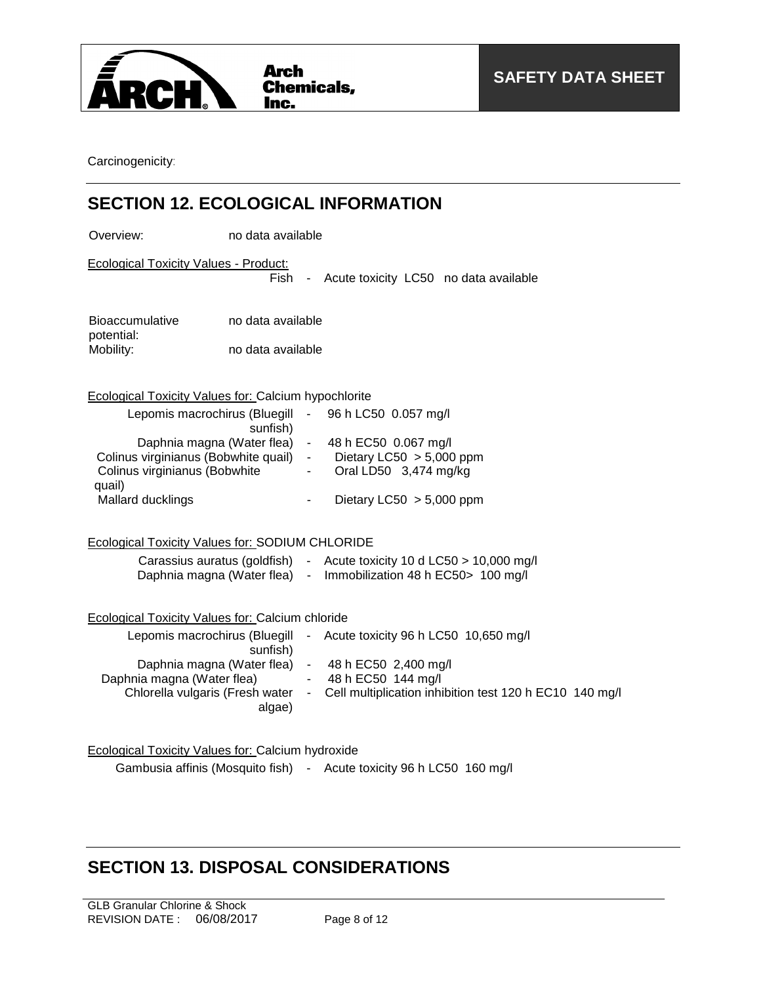

Carcinogenicity:

## **SECTION 12. ECOLOGICAL INFORMATION**

Overview: no data available

Ecological Toxicity Values - Product:

Fish - Acute toxicity LC50 no data available

| <b>Bioaccumulative</b> | no data available |
|------------------------|-------------------|
| potential:             |                   |
| Mobility:              | no data available |

Ecological Toxicity Values for: Calcium hypochlorite

| Lepomis macrochirus (Bluegill<br>sunfish) | $\sim 100$ | 96 h LC50 0.057 mg/l       |
|-------------------------------------------|------------|----------------------------|
| Daphnia magna (Water flea)                |            | 48 h EC50 0.067 mg/l       |
| Colinus virginianus (Bobwhite quail)      | $\sim$     | Dietary LC50 $> 5,000$ ppm |
| Colinus virginianus (Bobwhite             |            | Oral LD50 3,474 mg/kg      |
| quail)                                    |            |                            |
| Mallard ducklings                         |            | Dietary LC50 $> 5,000$ ppm |

Ecological Toxicity Values for: SODIUM CHLORIDE

| Carassius auratus (goldfish) | Acute toxicity 10 d LC50 $>$ 10,000 mg/l |
|------------------------------|------------------------------------------|
| Daphnia magna (Water flea)   | Immobilization 48 h EC50 > 100 mg/l      |

| Ecological Toxicity Values for: Calcium chloride |  |  |  |
|--------------------------------------------------|--|--|--|
|--------------------------------------------------|--|--|--|

| Lepomis macrochirus (Bluegill<br>sunfish)                | $\sim$     | Acute toxicity 96 h LC50 10,650 mg/l                    |  |
|----------------------------------------------------------|------------|---------------------------------------------------------|--|
| Daphnia magna (Water flea)<br>Daphnia magna (Water flea) | $\sim$     | $-48 h$ EC50 2,400 mg/l<br>48 h EC50 144 mg/l           |  |
| Chlorella vulgaris (Fresh water<br>algae)                | $\sim 100$ | Cell multiplication inhibition test 120 h EC10 140 mg/l |  |

| <b>Ecological Toxicity Values for: Calcium hydroxide</b> |  |  |
|----------------------------------------------------------|--|--|
|----------------------------------------------------------|--|--|

Gambusia affinis (Mosquito fish) - Acute toxicity 96 h LC50 160 mg/l

## **SECTION 13. DISPOSAL CONSIDERATIONS**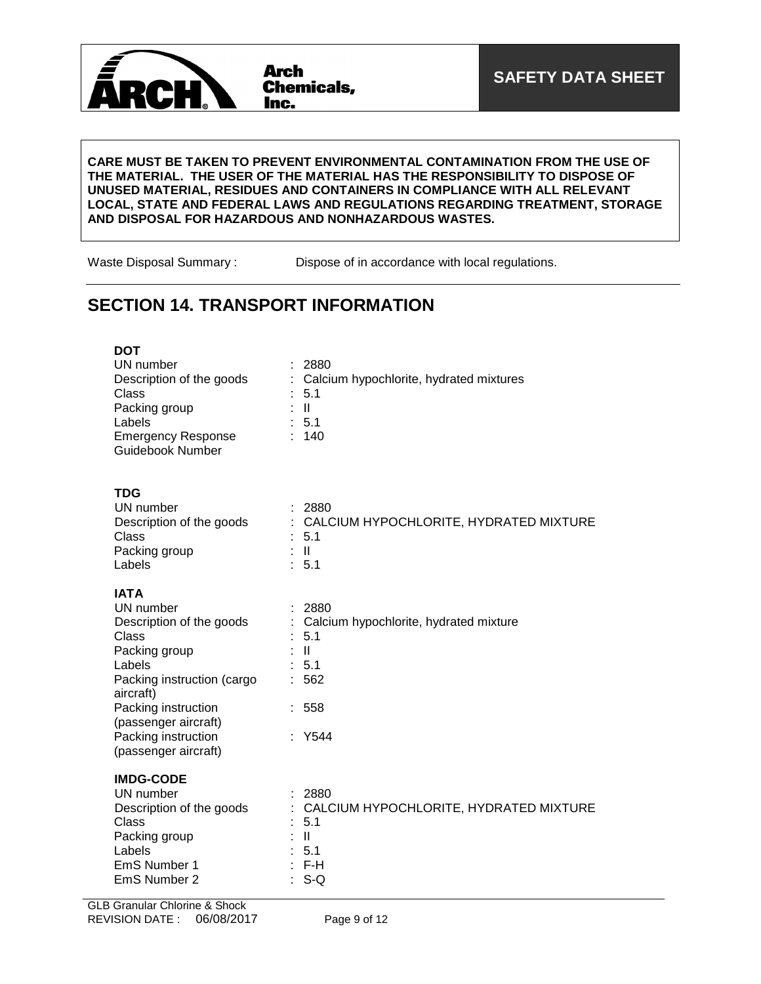

### **CARE MUST BE TAKEN TO PREVENT ENVIRONMENTAL CONTAMINATION FROM THE USE OF THE MATERIAL. THE USER OF THE MATERIAL HAS THE RESPONSIBILITY TO DISPOSE OF UNUSED MATERIAL, RESIDUES AND CONTAINERS IN COMPLIANCE WITH ALL RELEVANT LOCAL, STATE AND FEDERAL LAWS AND REGULATIONS REGARDING TREATMENT, STORAGE AND DISPOSAL FOR HAZARDOUS AND NONHAZARDOUS WASTES.**

Waste Disposal Summary : Dispose of in accordance with local regulations.

## **SECTION 14. TRANSPORT INFORMATION**

| <b>DOT</b><br>UN number<br>Description of the goods<br>Class<br>Packing group<br>Labels<br><b>Emergency Response</b><br><b>Guidebook Number</b> | 2880<br>Calcium hypochlorite, hydrated mixtures<br>5.1<br>$\mathbf{II}$<br>: 5.1<br>140       |
|-------------------------------------------------------------------------------------------------------------------------------------------------|-----------------------------------------------------------------------------------------------|
| <b>TDG</b><br>UN number<br>Description of the goods<br>Class<br>Packing group<br>Labels                                                         | 2880<br>÷<br>CALCIUM HYPOCHLORITE, HYDRATED MIXTURE<br>÷<br>5.1<br>H<br>5.1                   |
| <b>IATA</b><br>UN number<br>Description of the goods<br>Class<br>Packing group<br>Labels<br>Packing instruction (cargo<br>aircraft)             | 2880<br>Calcium hypochlorite, hydrated mixture<br>5.1<br>$\mathbf{  }$<br>5.1<br>562          |
| Packing instruction<br>(passenger aircraft)<br>Packing instruction<br>(passenger aircraft)                                                      | 558<br>Y544                                                                                   |
| <b>IMDG-CODE</b><br>UN number<br>Description of the goods<br>Class<br>Packing group<br>Labels<br>EmS Number 1<br>EmS Number 2                   | 2880<br>CALCIUM HYPOCHLORITE, HYDRATED MIXTURE<br>5.1<br>$\mathbf{II}$<br>5.1<br>F-H<br>$S-Q$ |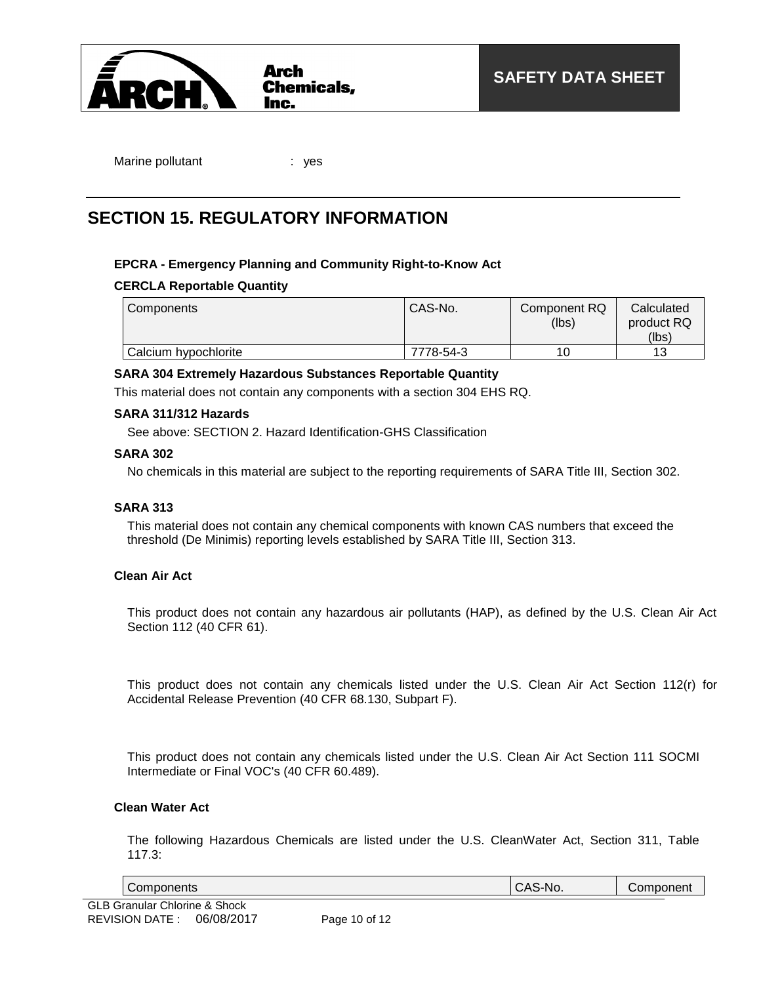

Marine pollutant : yes

## **SECTION 15. REGULATORY INFORMATION**

## **EPCRA - Emergency Planning and Community Right-to-Know Act**

## **CERCLA Reportable Quantity**

| Components           | CAS-No.   | Component RQ<br>(lbs) | Calculated<br>product RQ<br>(lbs) |
|----------------------|-----------|-----------------------|-----------------------------------|
| Calcium hypochlorite | 7778-54-3 | 10                    | 12                                |

## **SARA 304 Extremely Hazardous Substances Reportable Quantity**

This material does not contain any components with a section 304 EHS RQ.

## **SARA 311/312 Hazards**

See above: SECTION 2. Hazard Identification-GHS Classification

### **SARA 302**

No chemicals in this material are subject to the reporting requirements of SARA Title III, Section 302.

## **SARA 313**

This material does not contain any chemical components with known CAS numbers that exceed the threshold (De Minimis) reporting levels established by SARA Title III, Section 313.

### **Clean Air Act**

This product does not contain any hazardous air pollutants (HAP), as defined by the U.S. Clean Air Act Section 112 (40 CFR 61).

This product does not contain any chemicals listed under the U.S. Clean Air Act Section 112(r) for Accidental Release Prevention (40 CFR 68.130, Subpart F).

This product does not contain any chemicals listed under the U.S. Clean Air Act Section 111 SOCMI Intermediate or Final VOC's (40 CFR 60.489).

### **Clean Water Act**

The following Hazardous Chemicals are listed under the U.S. CleanWater Act, Section 311, Table 117.3:

| - | .<br>nr.<br>$\sim$ | . |
|---|--------------------|---|
|   |                    |   |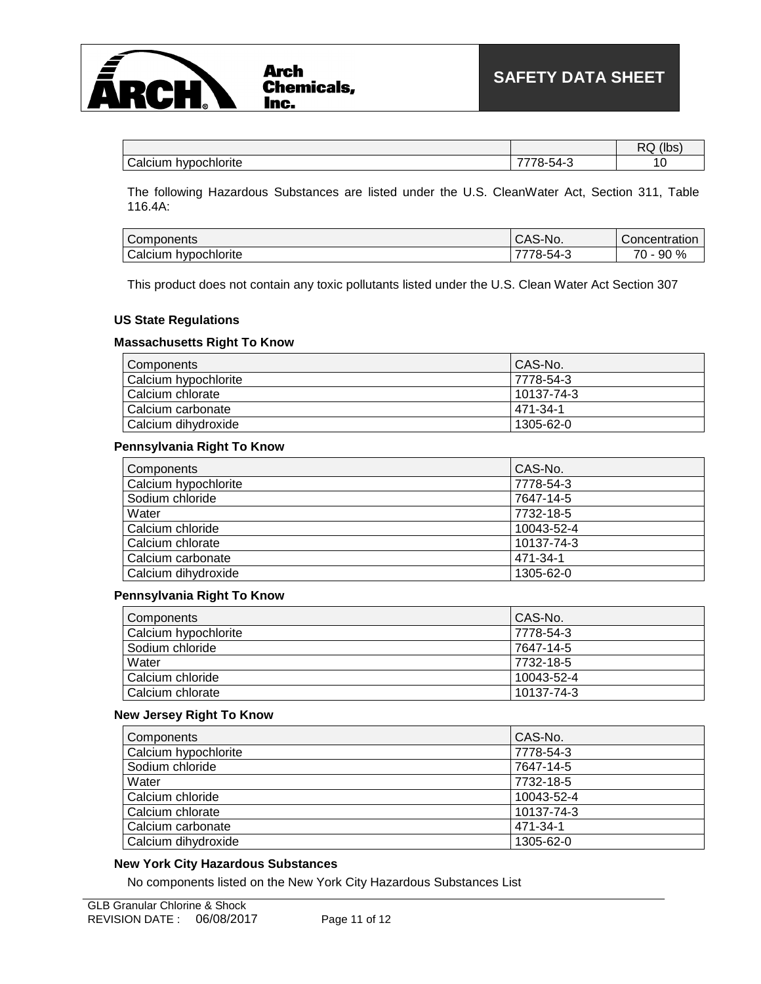

|                                                        |                                               | $^{\prime}$ Ih<br>--<br>\ I L |
|--------------------------------------------------------|-----------------------------------------------|-------------------------------|
| Calcium.<br><b>Chlorite</b><br>. .<br>nvnochic<br>cium | -<br>$\overline{\phantom{0}}$<br>$\Delta A$ . | v                             |

The following Hazardous Substances are listed under the U.S. CleanWater Act, Section 311, Table 116.4A:

| -<br>Components                                             | $\cdot$ A $\sim$<br>S-NO.<br>UNJ           | <i>C</i> oncentratior |
|-------------------------------------------------------------|--------------------------------------------|-----------------------|
| $\overline{\phantom{0}}$<br>hypochlorite<br><i>;</i> alcıum | $\mathsf{A}\mathsf{A}\mathsf{B}$<br>$\sim$ | ⇁<br>90%<br>7٥        |

This product does not contain any toxic pollutants listed under the U.S. Clean Water Act Section 307

### **US State Regulations**

### **Massachusetts Right To Know**

| Components           | CAS-No.    |
|----------------------|------------|
| Calcium hypochlorite | 7778-54-3  |
| Calcium chlorate     | 10137-74-3 |
| Calcium carbonate    | 471-34-1   |
| Calcium dihydroxide  | 1305-62-0  |

### **Pennsylvania Right To Know**

| Components           | CAS-No.    |
|----------------------|------------|
| Calcium hypochlorite | 7778-54-3  |
| Sodium chloride      | 7647-14-5  |
| Water                | 7732-18-5  |
| Calcium chloride     | 10043-52-4 |
| Calcium chlorate     | 10137-74-3 |
| Calcium carbonate    | 471-34-1   |
| Calcium dihydroxide  | 1305-62-0  |

### **Pennsylvania Right To Know**

| Components           | CAS-No.    |
|----------------------|------------|
| Calcium hypochlorite | 7778-54-3  |
| Sodium chloride      | 7647-14-5  |
| Water                | 7732-18-5  |
| Calcium chloride     | 10043-52-4 |
| Calcium chlorate     | 10137-74-3 |

### **New Jersey Right To Know**

| Components           | CAS-No.    |
|----------------------|------------|
| Calcium hypochlorite | 7778-54-3  |
| Sodium chloride      | 7647-14-5  |
| Water                | 7732-18-5  |
| Calcium chloride     | 10043-52-4 |
| Calcium chlorate     | 10137-74-3 |
| Calcium carbonate    | 471-34-1   |
| Calcium dihydroxide  | 1305-62-0  |

### **New York City Hazardous Substances**

No components listed on the New York City Hazardous Substances List